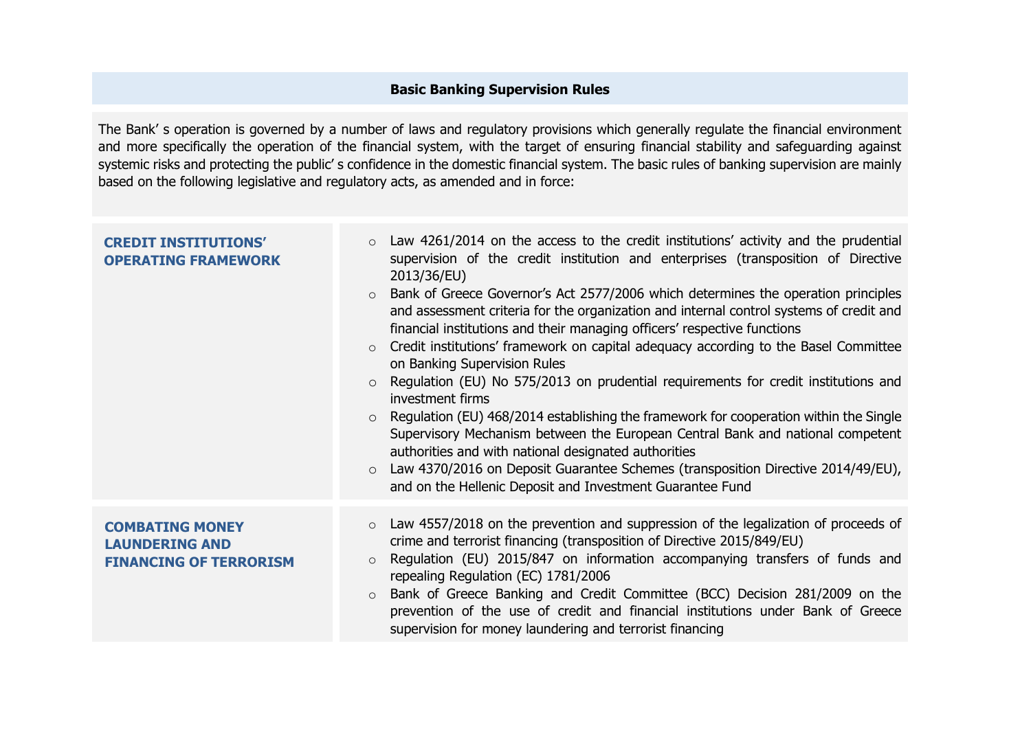## **Basic Banking Supervision Rules**

The Bank' s operation is governed by a number of laws and regulatory provisions which generally regulate the financial environment and more specifically the operation of the financial system, with the target of ensuring financial stability and safeguarding against systemic risks and protecting the public' s confidence in the domestic financial system. The basic rules of banking supervision are mainly based on the following legislative and regulatory acts, as amended and in force:

| <b>CREDIT INSTITUTIONS'</b><br><b>OPERATING FRAMEWORK</b>                        | Law 4261/2014 on the access to the credit institutions' activity and the prudential<br>$\circ$<br>supervision of the credit institution and enterprises (transposition of Directive<br>2013/36/EU)<br>Bank of Greece Governor's Act 2577/2006 which determines the operation principles<br>$\circ$<br>and assessment criteria for the organization and internal control systems of credit and<br>financial institutions and their managing officers' respective functions<br>Credit institutions' framework on capital adequacy according to the Basel Committee<br>$\circ$<br>on Banking Supervision Rules<br>Regulation (EU) No 575/2013 on prudential requirements for credit institutions and<br>$\circ$<br>investment firms<br>Regulation (EU) 468/2014 establishing the framework for cooperation within the Single<br>Supervisory Mechanism between the European Central Bank and national competent<br>authorities and with national designated authorities<br>Law 4370/2016 on Deposit Guarantee Schemes (transposition Directive 2014/49/EU),<br>$\circ$<br>and on the Hellenic Deposit and Investment Guarantee Fund |
|----------------------------------------------------------------------------------|---------------------------------------------------------------------------------------------------------------------------------------------------------------------------------------------------------------------------------------------------------------------------------------------------------------------------------------------------------------------------------------------------------------------------------------------------------------------------------------------------------------------------------------------------------------------------------------------------------------------------------------------------------------------------------------------------------------------------------------------------------------------------------------------------------------------------------------------------------------------------------------------------------------------------------------------------------------------------------------------------------------------------------------------------------------------------------------------------------------------------------|
| <b>COMBATING MONEY</b><br><b>LAUNDERING AND</b><br><b>FINANCING OF TERRORISM</b> | Law 4557/2018 on the prevention and suppression of the legalization of proceeds of<br>$\circ$<br>crime and terrorist financing (transposition of Directive 2015/849/EU)<br>Regulation (EU) 2015/847 on information accompanying transfers of funds and<br>$\circ$<br>repealing Regulation (EC) 1781/2006<br>Bank of Greece Banking and Credit Committee (BCC) Decision 281/2009 on the<br>$\circ$<br>prevention of the use of credit and financial institutions under Bank of Greece<br>supervision for money laundering and terrorist financing                                                                                                                                                                                                                                                                                                                                                                                                                                                                                                                                                                                |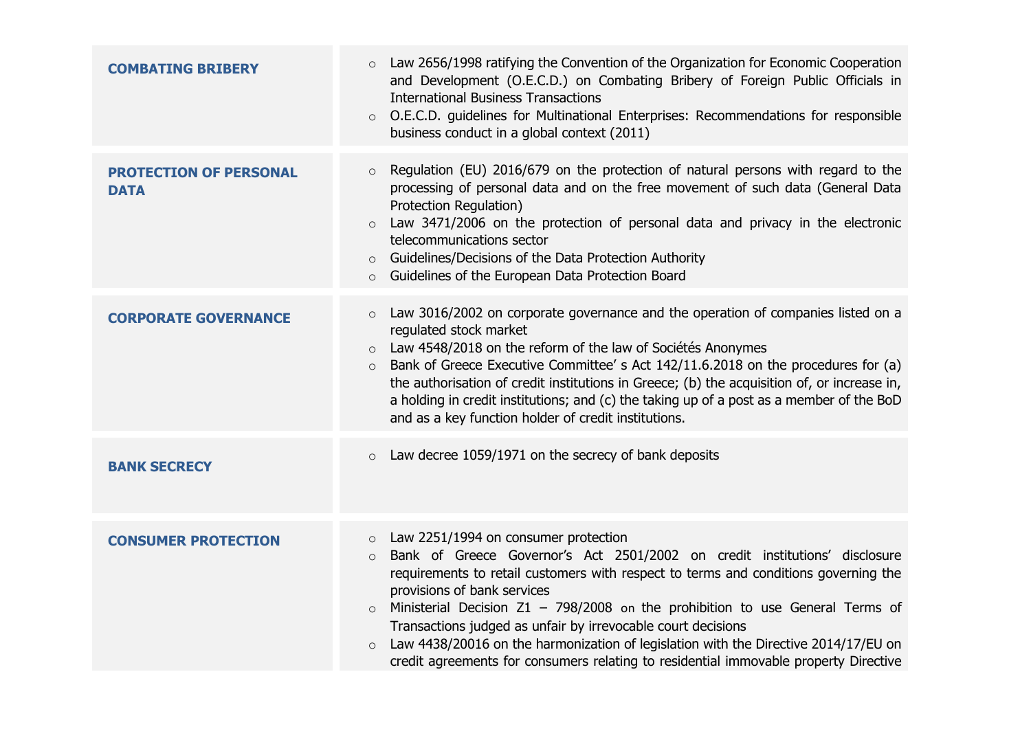| <b>COMBATING BRIBERY</b>                     | Law 2656/1998 ratifying the Convention of the Organization for Economic Cooperation<br>$\circ$<br>and Development (O.E.C.D.) on Combating Bribery of Foreign Public Officials in<br><b>International Business Transactions</b><br>O.E.C.D. guidelines for Multinational Enterprises: Recommendations for responsible<br>$\circ$<br>business conduct in a global context (2011)                                                                                                                                                                                                                              |
|----------------------------------------------|-------------------------------------------------------------------------------------------------------------------------------------------------------------------------------------------------------------------------------------------------------------------------------------------------------------------------------------------------------------------------------------------------------------------------------------------------------------------------------------------------------------------------------------------------------------------------------------------------------------|
| <b>PROTECTION OF PERSONAL</b><br><b>DATA</b> | Regulation (EU) 2016/679 on the protection of natural persons with regard to the<br>$\circ$<br>processing of personal data and on the free movement of such data (General Data<br>Protection Regulation)<br>Law 3471/2006 on the protection of personal data and privacy in the electronic<br>$\circ$<br>telecommunications sector<br>Guidelines/Decisions of the Data Protection Authority<br>$\circ$<br>Guidelines of the European Data Protection Board<br>$\circ$                                                                                                                                       |
| <b>CORPORATE GOVERNANCE</b>                  | Law 3016/2002 on corporate governance and the operation of companies listed on a<br>$\circ$<br>regulated stock market<br>Law 4548/2018 on the reform of the law of Sociétés Anonymes<br>Bank of Greece Executive Committee' s Act 142/11.6.2018 on the procedures for (a)<br>the authorisation of credit institutions in Greece; (b) the acquisition of, or increase in,<br>a holding in credit institutions; and (c) the taking up of a post as a member of the BoD<br>and as a key function holder of credit institutions.                                                                                |
| <b>BANK SECRECY</b>                          | Law decree 1059/1971 on the secrecy of bank deposits<br>$\circ$                                                                                                                                                                                                                                                                                                                                                                                                                                                                                                                                             |
| <b>CONSUMER PROTECTION</b>                   | Law 2251/1994 on consumer protection<br>$\circ$<br>Bank of Greece Governor's Act 2501/2002 on credit institutions' disclosure<br>$\circ$<br>requirements to retail customers with respect to terms and conditions governing the<br>provisions of bank services<br>Ministerial Decision $Z1 - 798/2008$ on the prohibition to use General Terms of<br>$\circ$<br>Transactions judged as unfair by irrevocable court decisions<br>Law 4438/20016 on the harmonization of legislation with the Directive 2014/17/EU on<br>credit agreements for consumers relating to residential immovable property Directive |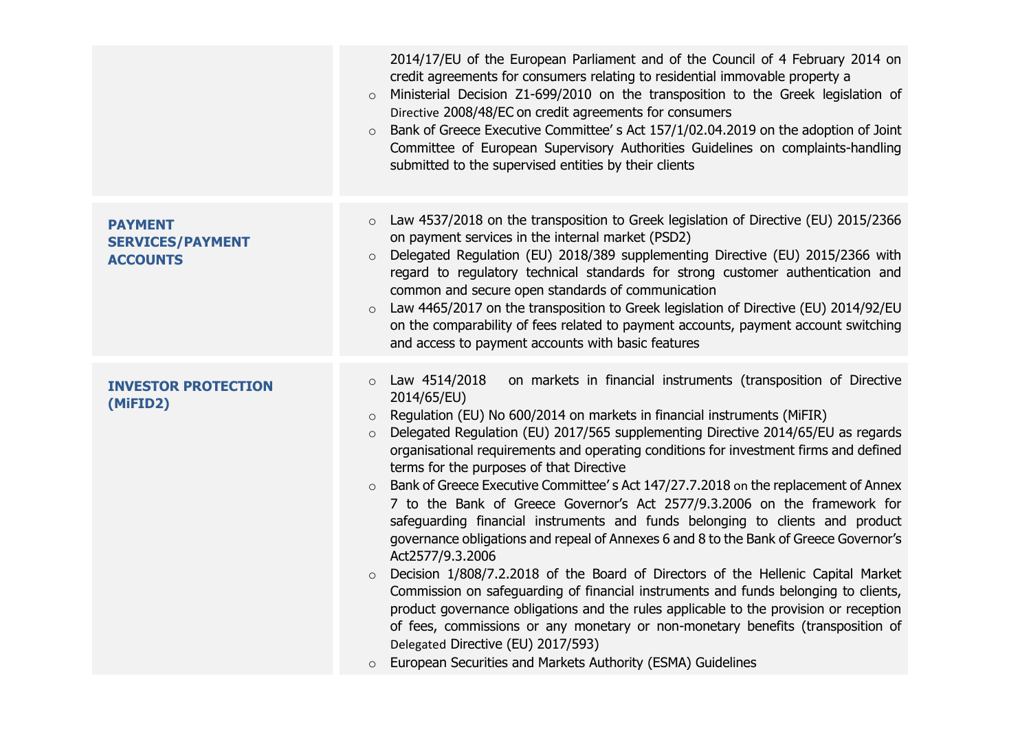|                                                              | 2014/17/EU of the European Parliament and of the Council of 4 February 2014 on<br>credit agreements for consumers relating to residential immovable property a<br>Ministerial Decision Z1-699/2010 on the transposition to the Greek legislation of<br>$\circ$<br>Directive 2008/48/EC on credit agreements for consumers<br>Bank of Greece Executive Committee's Act 157/1/02.04.2019 on the adoption of Joint<br>Committee of European Supervisory Authorities Guidelines on complaints-handling<br>submitted to the supervised entities by their clients                                                                                                                                                                                                                                                                                                                                                                                                                                                                                                                                                                                                                                                                                                                                        |
|--------------------------------------------------------------|----------------------------------------------------------------------------------------------------------------------------------------------------------------------------------------------------------------------------------------------------------------------------------------------------------------------------------------------------------------------------------------------------------------------------------------------------------------------------------------------------------------------------------------------------------------------------------------------------------------------------------------------------------------------------------------------------------------------------------------------------------------------------------------------------------------------------------------------------------------------------------------------------------------------------------------------------------------------------------------------------------------------------------------------------------------------------------------------------------------------------------------------------------------------------------------------------------------------------------------------------------------------------------------------------|
| <b>PAYMENT</b><br><b>SERVICES/PAYMENT</b><br><b>ACCOUNTS</b> | Law 4537/2018 on the transposition to Greek legislation of Directive (EU) 2015/2366<br>$\circ$<br>on payment services in the internal market (PSD2)<br>Delegated Regulation (EU) 2018/389 supplementing Directive (EU) 2015/2366 with<br>regard to regulatory technical standards for strong customer authentication and<br>common and secure open standards of communication<br>Law 4465/2017 on the transposition to Greek legislation of Directive (EU) 2014/92/EU<br>$\circ$<br>on the comparability of fees related to payment accounts, payment account switching<br>and access to payment accounts with basic features                                                                                                                                                                                                                                                                                                                                                                                                                                                                                                                                                                                                                                                                      |
| <b>INVESTOR PROTECTION</b><br>(MiFID2)                       | Law 4514/2018<br>on markets in financial instruments (transposition of Directive<br>$\circ$<br>2014/65/EU)<br>Regulation (EU) No 600/2014 on markets in financial instruments (MiFIR)<br>$\circ$<br>Delegated Regulation (EU) 2017/565 supplementing Directive 2014/65/EU as regards<br>$\circ$<br>organisational requirements and operating conditions for investment firms and defined<br>terms for the purposes of that Directive<br>Bank of Greece Executive Committee's Act 147/27.7.2018 on the replacement of Annex<br>$\circ$<br>7 to the Bank of Greece Governor's Act 2577/9.3.2006 on the framework for<br>safeguarding financial instruments and funds belonging to clients and product<br>governance obligations and repeal of Annexes 6 and 8 to the Bank of Greece Governor's<br>Act2577/9.3.2006<br>Decision 1/808/7.2.2018 of the Board of Directors of the Hellenic Capital Market<br>$\circ$<br>Commission on safeguarding of financial instruments and funds belonging to clients,<br>product governance obligations and the rules applicable to the provision or reception<br>of fees, commissions or any monetary or non-monetary benefits (transposition of<br>Delegated Directive (EU) 2017/593)<br>European Securities and Markets Authority (ESMA) Guidelines<br>$\circ$ |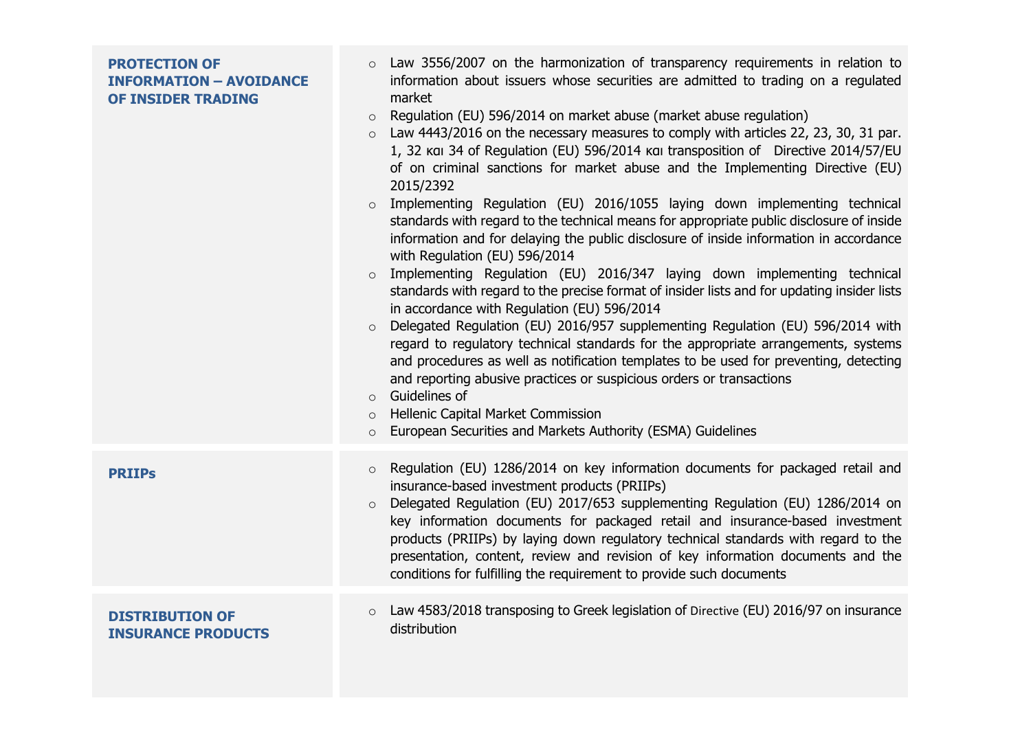| <b>PROTECTION OF</b><br><b>INFORMATION - AVOIDANCE</b><br>OF INSIDER TRADING | Law 3556/2007 on the harmonization of transparency requirements in relation to<br>$\circ$<br>information about issuers whose securities are admitted to trading on a regulated<br>market<br>Regulation (EU) 596/2014 on market abuse (market abuse regulation)<br>$\circ$<br>Law 4443/2016 on the necessary measures to comply with articles 22, 23, 30, 31 par.<br>$\circ$<br>1, 32 kai 34 of Regulation (EU) 596/2014 kai transposition of Directive 2014/57/EU<br>of on criminal sanctions for market abuse and the Implementing Directive (EU)<br>2015/2392<br>Implementing Regulation (EU) 2016/1055 laying down implementing technical<br>standards with regard to the technical means for appropriate public disclosure of inside<br>information and for delaying the public disclosure of inside information in accordance<br>with Regulation (EU) 596/2014<br>Implementing Regulation (EU) 2016/347 laying down implementing technical<br>$\circ$<br>standards with regard to the precise format of insider lists and for updating insider lists<br>in accordance with Regulation (EU) 596/2014<br>Delegated Regulation (EU) 2016/957 supplementing Regulation (EU) 596/2014 with<br>$\circ$<br>regard to regulatory technical standards for the appropriate arrangements, systems<br>and procedures as well as notification templates to be used for preventing, detecting<br>and reporting abusive practices or suspicious orders or transactions<br>Guidelines of<br>$\circ$<br>Hellenic Capital Market Commission<br>$\circ$<br>European Securities and Markets Authority (ESMA) Guidelines |
|------------------------------------------------------------------------------|----------------------------------------------------------------------------------------------------------------------------------------------------------------------------------------------------------------------------------------------------------------------------------------------------------------------------------------------------------------------------------------------------------------------------------------------------------------------------------------------------------------------------------------------------------------------------------------------------------------------------------------------------------------------------------------------------------------------------------------------------------------------------------------------------------------------------------------------------------------------------------------------------------------------------------------------------------------------------------------------------------------------------------------------------------------------------------------------------------------------------------------------------------------------------------------------------------------------------------------------------------------------------------------------------------------------------------------------------------------------------------------------------------------------------------------------------------------------------------------------------------------------------------------------------------------------------------------------------------|
| <b>PRIIPs</b>                                                                | Regulation (EU) 1286/2014 on key information documents for packaged retail and<br>$\circ$<br>insurance-based investment products (PRIIPs)<br>Delegated Regulation (EU) 2017/653 supplementing Regulation (EU) 1286/2014 on<br>$\circ$<br>key information documents for packaged retail and insurance-based investment<br>products (PRIIPs) by laying down regulatory technical standards with regard to the<br>presentation, content, review and revision of key information documents and the<br>conditions for fulfilling the requirement to provide such documents                                                                                                                                                                                                                                                                                                                                                                                                                                                                                                                                                                                                                                                                                                                                                                                                                                                                                                                                                                                                                                    |
| <b>DISTRIBUTION OF</b><br><b>INSURANCE PRODUCTS</b>                          | Law 4583/2018 transposing to Greek legislation of Directive (EU) 2016/97 on insurance<br>$\circ$<br>distribution                                                                                                                                                                                                                                                                                                                                                                                                                                                                                                                                                                                                                                                                                                                                                                                                                                                                                                                                                                                                                                                                                                                                                                                                                                                                                                                                                                                                                                                                                         |